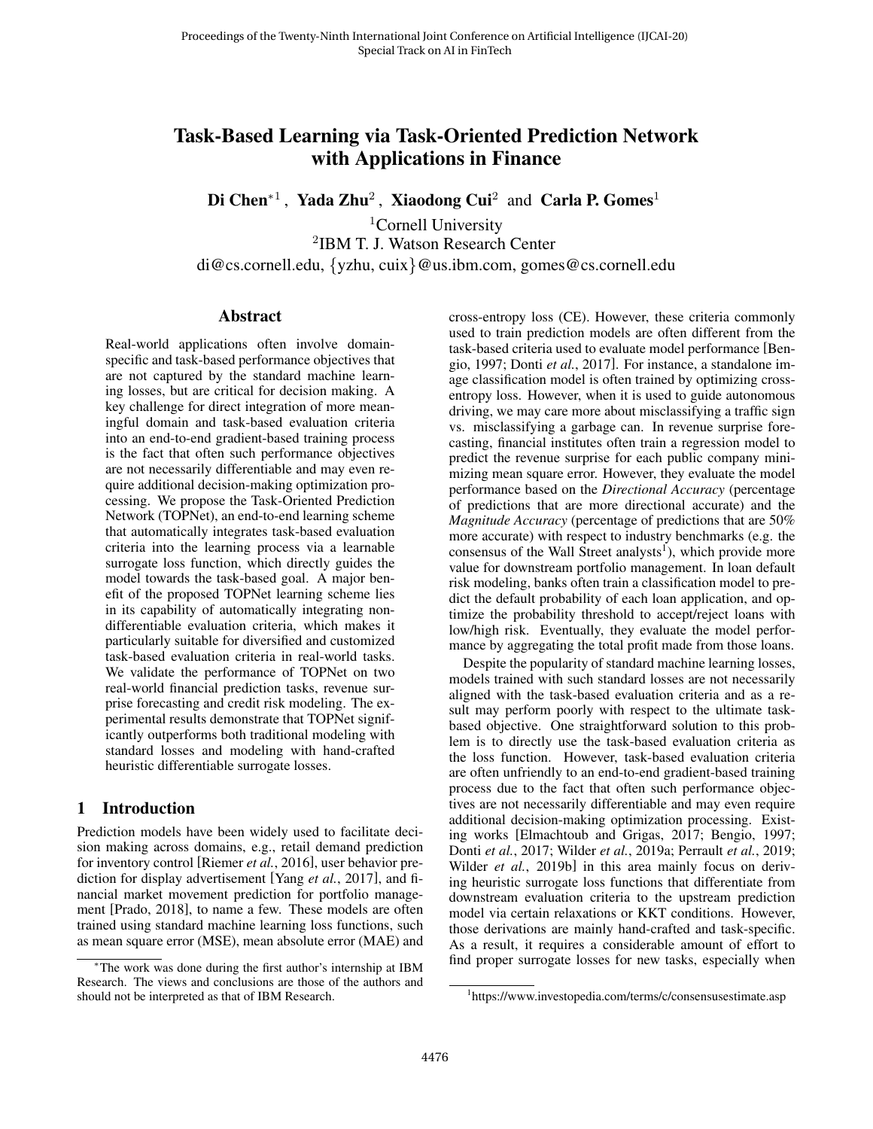# Task-Based Learning via Task-Oriented Prediction Network with Applications in Finance

Di Chen<sup>∗1</sup>, Yada Zhu<sup>2</sup>, Xiaodong Cui<sup>2</sup> and Carla P. Gomes<sup>1</sup>

<sup>1</sup>Cornell University 2 IBM T. J. Watson Research Center di@cs.cornell.edu, {yzhu, cuix}@us.ibm.com, gomes@cs.cornell.edu

#### Abstract

Real-world applications often involve domainspecific and task-based performance objectives that are not captured by the standard machine learning losses, but are critical for decision making. A key challenge for direct integration of more meaningful domain and task-based evaluation criteria into an end-to-end gradient-based training process is the fact that often such performance objectives are not necessarily differentiable and may even require additional decision-making optimization processing. We propose the Task-Oriented Prediction Network (TOPNet), an end-to-end learning scheme that automatically integrates task-based evaluation criteria into the learning process via a learnable surrogate loss function, which directly guides the model towards the task-based goal. A major benefit of the proposed TOPNet learning scheme lies in its capability of automatically integrating nondifferentiable evaluation criteria, which makes it particularly suitable for diversified and customized task-based evaluation criteria in real-world tasks. We validate the performance of TOPNet on two real-world financial prediction tasks, revenue surprise forecasting and credit risk modeling. The experimental results demonstrate that TOPNet significantly outperforms both traditional modeling with standard losses and modeling with hand-crafted heuristic differentiable surrogate losses.

### 1 Introduction

Prediction models have been widely used to facilitate decision making across domains, e.g., retail demand prediction for inventory control [\[Riemer](#page-6-0) *et al.*, 2016], user behavior prediction for display advertisement [Yang *et al.*[, 2017\]](#page-6-1), and financial market movement prediction for portfolio management [\[Prado, 2018\]](#page-6-2), to name a few. These models are often trained using standard machine learning loss functions, such as mean square error (MSE), mean absolute error (MAE) and cross-entropy loss (CE). However, these criteria commonly used to train prediction models are often different from the task-based criteria used to evaluate model performance [\[Ben](#page-6-3)[gio, 1997;](#page-6-3) Donti *et al.*[, 2017\]](#page-6-4). For instance, a standalone image classification model is often trained by optimizing crossentropy loss. However, when it is used to guide autonomous driving, we may care more about misclassifying a traffic sign vs. misclassifying a garbage can. In revenue surprise forecasting, financial institutes often train a regression model to predict the revenue surprise for each public company minimizing mean square error. However, they evaluate the model performance based on the *Directional Accuracy* (percentage of predictions that are more directional accurate) and the *Magnitude Accuracy* (percentage of predictions that are 50% more accurate) with respect to industry benchmarks (e.g. the consensus of the Wall Street analysts<sup>[1](#page-0-0)</sup>), which provide more value for downstream portfolio management. In loan default risk modeling, banks often train a classification model to predict the default probability of each loan application, and optimize the probability threshold to accept/reject loans with low/high risk. Eventually, they evaluate the model performance by aggregating the total profit made from those loans.

Despite the popularity of standard machine learning losses, models trained with such standard losses are not necessarily aligned with the task-based evaluation criteria and as a result may perform poorly with respect to the ultimate taskbased objective. One straightforward solution to this problem is to directly use the task-based evaluation criteria as the loss function. However, task-based evaluation criteria are often unfriendly to an end-to-end gradient-based training process due to the fact that often such performance objectives are not necessarily differentiable and may even require additional decision-making optimization processing. Existing works [\[Elmachtoub and Grigas, 2017;](#page-6-5) [Bengio, 1997;](#page-6-3) Donti *et al.*[, 2017;](#page-6-4) Wilder *et al.*[, 2019a;](#page-6-6) [Perrault](#page-6-7) *et al.*, 2019; Wilder *et al.*[, 2019b\]](#page-6-8) in this area mainly focus on deriving heuristic surrogate loss functions that differentiate from downstream evaluation criteria to the upstream prediction model via certain relaxations or KKT conditions. However, those derivations are mainly hand-crafted and task-specific. As a result, it requires a considerable amount of effort to find proper surrogate losses for new tasks, especially when

<sup>∗</sup>The work was done during the first author's internship at IBM Research. The views and conclusions are those of the authors and should not be interpreted as that of IBM Research.

<span id="page-0-0"></span><sup>1</sup> https://www.investopedia.com/terms/c/consensusestimate.asp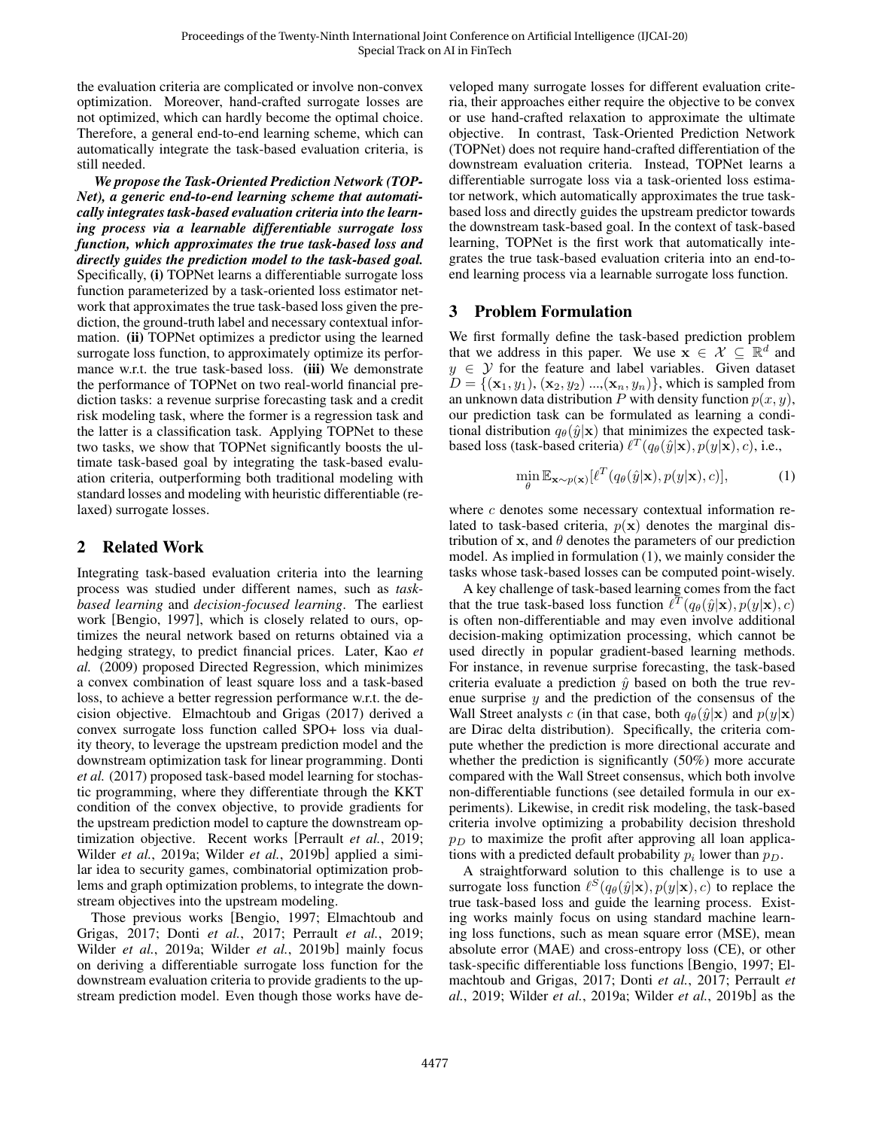the evaluation criteria are complicated or involve non-convex optimization. Moreover, hand-crafted surrogate losses are not optimized, which can hardly become the optimal choice. Therefore, a general end-to-end learning scheme, which can automatically integrate the task-based evaluation criteria, is still needed.

*We propose the Task-Oriented Prediction Network (TOP-Net), a generic end-to-end learning scheme that automatically integrates task-based evaluation criteria into the learning process via a learnable differentiable surrogate loss function, which approximates the true task-based loss and directly guides the prediction model to the task-based goal.* Specifically, (i) TOPNet learns a differentiable surrogate loss function parameterized by a task-oriented loss estimator network that approximates the true task-based loss given the prediction, the ground-truth label and necessary contextual information. (ii) TOPNet optimizes a predictor using the learned surrogate loss function, to approximately optimize its performance w.r.t. the true task-based loss. (iii) We demonstrate the performance of TOPNet on two real-world financial prediction tasks: a revenue surprise forecasting task and a credit risk modeling task, where the former is a regression task and the latter is a classification task. Applying TOPNet to these two tasks, we show that TOPNet significantly boosts the ultimate task-based goal by integrating the task-based evaluation criteria, outperforming both traditional modeling with standard losses and modeling with heuristic differentiable (relaxed) surrogate losses.

# 2 Related Work

Integrating task-based evaluation criteria into the learning process was studied under different names, such as *taskbased learning* and *decision-focused learning*. The earliest work [\[Bengio, 1997\]](#page-6-3), which is closely related to ours, optimizes the neural network based on returns obtained via a hedging strategy, to predict financial prices. Later, [Kao](#page-6-9) *et [al.](#page-6-9)* [\(2009\)](#page-6-9) proposed Directed Regression, which minimizes a convex combination of least square loss and a task-based loss, to achieve a better regression performance w.r.t. the decision objective. [Elmachtoub and Grigas](#page-6-5) [\(2017\)](#page-6-5) derived a convex surrogate loss function called SPO+ loss via duality theory, to leverage the upstream prediction model and the downstream optimization task for linear programming. [Donti](#page-6-4) *[et al.](#page-6-4)* [\(2017\)](#page-6-4) proposed task-based model learning for stochastic programming, where they differentiate through the KKT condition of the convex objective, to provide gradients for the upstream prediction model to capture the downstream optimization objective. Recent works [\[Perrault](#page-6-7) *et al.*, 2019; Wilder *et al.*[, 2019a;](#page-6-6) Wilder *et al.*[, 2019b\]](#page-6-8) applied a similar idea to security games, combinatorial optimization problems and graph optimization problems, to integrate the downstream objectives into the upstream modeling.

Those previous works [\[Bengio, 1997;](#page-6-3) [Elmachtoub and](#page-6-5) [Grigas, 2017;](#page-6-5) Donti *et al.*[, 2017;](#page-6-4) [Perrault](#page-6-7) *et al.*, 2019; Wilder *et al.*[, 2019a;](#page-6-6) Wilder *et al.*[, 2019b\]](#page-6-8) mainly focus on deriving a differentiable surrogate loss function for the downstream evaluation criteria to provide gradients to the upstream prediction model. Even though those works have developed many surrogate losses for different evaluation criteria, their approaches either require the objective to be convex or use hand-crafted relaxation to approximate the ultimate objective. In contrast, Task-Oriented Prediction Network (TOPNet) does not require hand-crafted differentiation of the downstream evaluation criteria. Instead, TOPNet learns a differentiable surrogate loss via a task-oriented loss estimator network, which automatically approximates the true taskbased loss and directly guides the upstream predictor towards the downstream task-based goal. In the context of task-based learning, TOPNet is the first work that automatically integrates the true task-based evaluation criteria into an end-toend learning process via a learnable surrogate loss function.

# 3 Problem Formulation

We first formally define the task-based prediction problem that we address in this paper. We use  $\mathbf{x} \in \mathcal{X} \subseteq \mathbb{R}^d$  and  $y \in Y$  for the feature and label variables. Given dataset  $D = \{(\mathbf{x}_1, y_1), (\mathbf{x}_2, y_2), ..., (\mathbf{x}_n, y_n)\}\$ , which is sampled from an unknown data distribution P with density function  $p(x, y)$ , our prediction task can be formulated as learning a conditional distribution  $q_{\theta}(\hat{y}|\mathbf{x})$  that minimizes the expected taskbased loss (task-based criteria)  $\ell^T(q_\theta(\hat{y}|\mathbf{x}), p(y|\mathbf{x}), c)$ , i.e.,

<span id="page-1-0"></span>
$$
\min_{\theta} \mathbb{E}_{\mathbf{x} \sim p(\mathbf{x})} [\ell^T(q_{\theta}(\hat{y}|\mathbf{x}), p(y|\mathbf{x}), c)], \tag{1}
$$

where  $c$  denotes some necessary contextual information related to task-based criteria,  $p(x)$  denotes the marginal distribution of x, and  $\theta$  denotes the parameters of our prediction model. As implied in formulation [\(1\)](#page-1-0), we mainly consider the tasks whose task-based losses can be computed point-wisely.

A key challenge of task-based learning comes from the fact that the true task-based loss function  $\ell^T(q_\theta(\hat{y}|\mathbf{x}), p(y|\mathbf{x}), c)$ is often non-differentiable and may even involve additional decision-making optimization processing, which cannot be used directly in popular gradient-based learning methods. For instance, in revenue surprise forecasting, the task-based criteria evaluate a prediction  $\hat{y}$  based on both the true revenue surprise  $y$  and the prediction of the consensus of the Wall Street analysts c (in that case, both  $q_{\theta}(\hat{y}|\mathbf{x})$  and  $p(y|\mathbf{x})$ are Dirac delta distribution). Specifically, the criteria compute whether the prediction is more directional accurate and whether the prediction is significantly  $(50%)$  more accurate compared with the Wall Street consensus, which both involve non-differentiable functions (see detailed formula in our experiments). Likewise, in credit risk modeling, the task-based criteria involve optimizing a probability decision threshold  $p_D$  to maximize the profit after approving all loan applications with a predicted default probability  $p_i$  lower than  $p_D$ .

A straightforward solution to this challenge is to use a surrogate loss function  $\ell^{S}(q_{\theta}(\hat{y}|\mathbf{x}), p(y|\mathbf{x}), c)$  to replace the true task-based loss and guide the learning process. Existing works mainly focus on using standard machine learning loss functions, such as mean square error (MSE), mean absolute error (MAE) and cross-entropy loss (CE), or other task-specific differentiable loss functions [\[Bengio, 1997;](#page-6-3) [El](#page-6-5)[machtoub and Grigas, 2017;](#page-6-5) Donti *et al.*[, 2017;](#page-6-4) [Perrault](#page-6-7) *et al.*[, 2019;](#page-6-7) Wilder *et al.*[, 2019a;](#page-6-6) Wilder *et al.*[, 2019b\]](#page-6-8) as the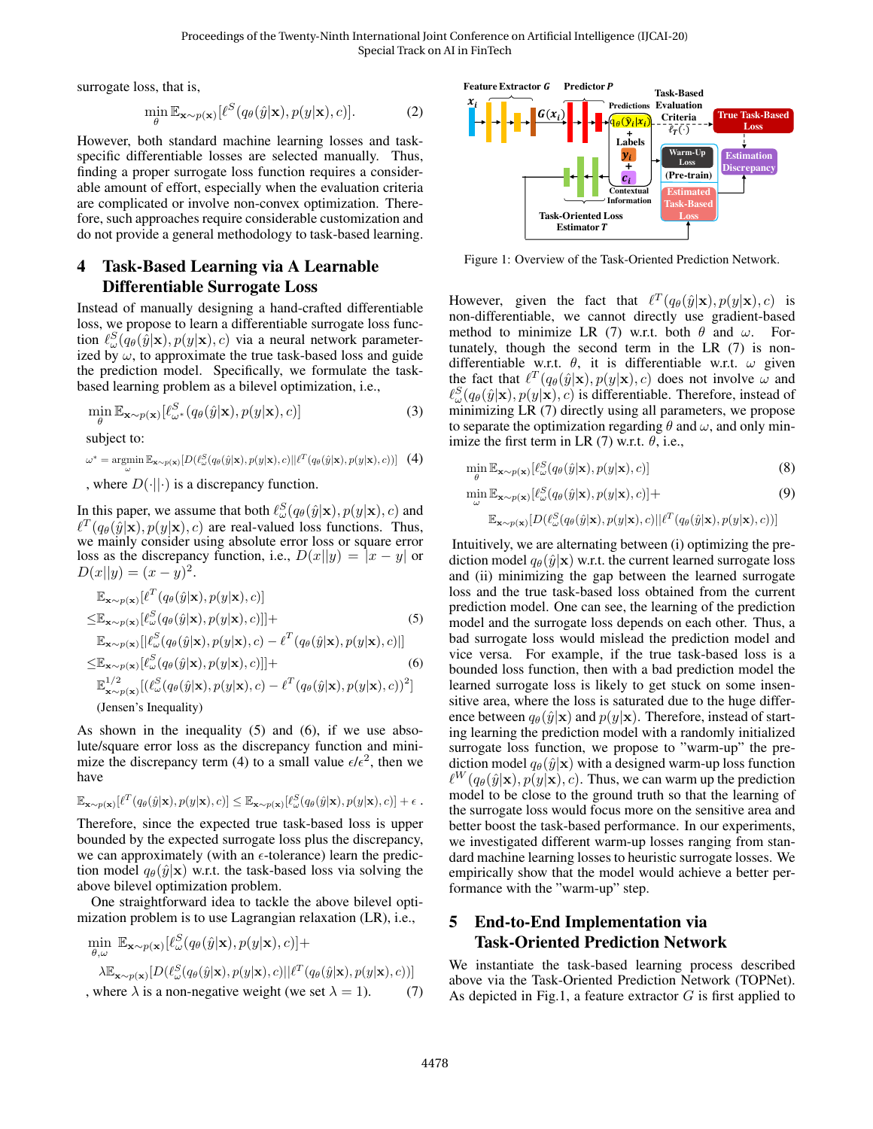surrogate loss, that is,

$$
\min_{\theta} \mathbb{E}_{\mathbf{x} \sim p(\mathbf{x})} [\ell^{S}(q_{\theta}(\hat{y}|\mathbf{x}), p(y|\mathbf{x}), c)]. \tag{2}
$$

However, both standard machine learning losses and taskspecific differentiable losses are selected manually. Thus, finding a proper surrogate loss function requires a considerable amount of effort, especially when the evaluation criteria are complicated or involve non-convex optimization. Therefore, such approaches require considerable customization and do not provide a general methodology to task-based learning.

## 4 Task-Based Learning via A Learnable Differentiable Surrogate Loss

Instead of manually designing a hand-crafted differentiable loss, we propose to learn a differentiable surrogate loss function  $\ell_{\omega}^S(q_\theta(\hat{y}|\mathbf{x}), p(y|\mathbf{x}), c)$  via a neural network parameterized by  $\omega$ , to approximate the true task-based loss and guide the prediction model. Specifically, we formulate the taskbased learning problem as a bilevel optimization, i.e.,

$$
\min_{\theta} \mathbb{E}_{\mathbf{x} \sim p(\mathbf{x})} [\ell_{\omega^*}^S(q_{\theta}(\hat{y}|\mathbf{x}), p(y|\mathbf{x}), c)] \tag{3}
$$

subject to:

$$
\omega^* = \operatorname*{argmin}_{\omega} \mathbb{E}_{\mathbf{x} \sim p(\mathbf{x})} [D(\ell_{\omega}^S(q_{\theta}(\hat{y}|\mathbf{x}), p(y|\mathbf{x}), c)||\ell^T(q_{\theta}(\hat{y}|\mathbf{x}), p(y|\mathbf{x}), c))] \tag{4}
$$

, where  $D(\cdot||\cdot)$  is a discrepancy function.

In this paper, we assume that both  $\ell_{\omega}^{S}(q_{\theta}(\hat{y}|\mathbf{x}), p(y|\mathbf{x}), c)$  and  $\ell^T(q_\theta(\hat{y}|\mathbf{x}), p(y|\mathbf{x}), c)$  are real-valued loss functions. Thus, we mainly consider using absolute error loss or square error loss as the discrepancy function, i.e.,  $D(x||y) = |x - y|$  or  $D(x||y) = (x - y)^2$ .

$$
\mathbb{E}_{\mathbf{x} \sim p(\mathbf{x})} [\ell^T (q_{\theta}(\hat{y}|\mathbf{x}), p(y|\mathbf{x}), c)]
$$
\n
$$
\leq \mathbb{E}_{\mathbf{x} \sim p(\mathbf{x})} [\ell^S_{\omega}(q_{\theta}(\hat{y}|\mathbf{x}), p(y|\mathbf{x}), c)] +
$$
\n
$$
\mathbb{E}_{\mathbf{x} \sim p(\mathbf{x})} [\ell^S_{\omega}(q_{\theta}(\hat{y}|\mathbf{x}), p(y|\mathbf{x}), c) - \ell^T (q_{\theta}(\hat{y}|\mathbf{x}), p(y|\mathbf{x}), c)]]
$$
\n
$$
\leq \mathbb{E}_{\mathbf{x} \sim p(\mathbf{x})} [\ell^S_{\omega}(q_{\theta}(\hat{y}|\mathbf{x}), p(y|\mathbf{x}), c)] +
$$
\n
$$
\mathbb{E}_{\mathbf{x} \sim p(\mathbf{x})}^{1/2} [(\ell^S_{\omega}(q_{\theta}(\hat{y}|\mathbf{x}), p(y|\mathbf{x}), c) - \ell^T (q_{\theta}(\hat{y}|\mathbf{x}), p(y|\mathbf{x}), c))^2]
$$
\n(Jensen's Inequality)

As shown in the inequality [\(5\)](#page-2-0) and [\(6\)](#page-2-1), if we use absolute/square error loss as the discrepancy function and mini-mize the discrepancy term [\(4\)](#page-2-2) to a small value  $\epsilon/\epsilon^2$ , then we have

$$
\mathbb{E}_{\mathbf{x} \sim p(\mathbf{x})} [\ell^T(q_\theta(\hat{y}|\mathbf{x}), p(y|\mathbf{x}), c)] \leq \mathbb{E}_{\mathbf{x} \sim p(\mathbf{x})} [\ell^S_\omega(q_\theta(\hat{y}|\mathbf{x}), p(y|\mathbf{x}), c)] + \epsilon.
$$

Therefore, since the expected true task-based loss is upper bounded by the expected surrogate loss plus the discrepancy, we can approximately (with an  $\epsilon$ -tolerance) learn the prediction model  $q_{\theta}(\hat{y}|\mathbf{x})$  w.r.t. the task-based loss via solving the above bilevel optimization problem.

One straightforward idea to tackle the above bilevel optimization problem is to use Lagrangian relaxation (LR), i.e.,

$$
\min_{\theta,\omega} \mathbb{E}_{\mathbf{x} \sim p(\mathbf{x})} [\ell^S_{\omega}(q_{\theta}(\hat{y}|\mathbf{x}), p(y|\mathbf{x}), c)] +
$$
\n
$$
\lambda \mathbb{E}_{\mathbf{x} \sim p(\mathbf{x})} [D(\ell^S_{\omega}(q_{\theta}(\hat{y}|\mathbf{x}), p(y|\mathbf{x}), c)||\ell^T(q_{\theta}(\hat{y}|\mathbf{x}), p(y|\mathbf{x}), c))]
$$
\n, where  $\lambda$  is a non-negative weight (we set  $\lambda = 1$ ). (7)

<span id="page-2-4"></span>

Figure 1: Overview of the Task-Oriented Prediction Network.

However, given the fact that  $\ell^T(q_\theta(\hat{y}|\mathbf{x}), p(y|\mathbf{x}), c)$  is non-differentiable, we cannot directly use gradient-based method to minimize LR [\(7\)](#page-2-3) w.r.t. both  $\theta$  and  $\omega$ . Fortunately, though the second term in the LR [\(7\)](#page-2-3) is nondifferentiable w.r.t.  $\theta$ , it is differentiable w.r.t.  $\omega$  given the fact that  $\ell^T(q_\theta(\hat{y}|\mathbf{x}), p(y|\mathbf{x}), c)$  does not involve  $\omega$  and  $\ell_{\omega}^S(q_{\theta}(\hat{y}|\mathbf{x}), p(y|\mathbf{x}), c)$  is differentiable. Therefore, instead of minimizing LR [\(7\)](#page-2-3) directly using all parameters, we propose to separate the optimization regarding  $\theta$  and  $\omega$ , and only min-imize the first term in LR [\(7\)](#page-2-3) w.r.t.  $\theta$ , i.e.,

<span id="page-2-2"></span>
$$
\min_{\theta} \mathbb{E}_{\mathbf{x} \sim p(\mathbf{x})} [\ell_{\omega}^{S}(q_{\theta}(\hat{y}|\mathbf{x}), p(y|\mathbf{x}), c)] \tag{8}
$$

$$
\min_{\omega} \mathbb{E}_{\mathbf{x} \sim p(\mathbf{x})} [\ell_{\omega}^S(q_{\theta}(\hat{y}|\mathbf{x}), p(y|\mathbf{x}), c)] +
$$
\n(9)

$$
\mathbb{E}_{\mathbf{x} \sim p(\mathbf{x})}[D(\ell_{\omega}^S(q_{\theta}(\hat{y}|\mathbf{x}), p(y|\mathbf{x}), c)||\ell^T(q_{\theta}(\hat{y}|\mathbf{x}), p(y|\mathbf{x}), c))]
$$

<span id="page-2-1"></span><span id="page-2-0"></span>Intuitively, we are alternating between (i) optimizing the prediction model  $q_{\theta}(\hat{y}|\mathbf{x})$  w.r.t. the current learned surrogate loss and (ii) minimizing the gap between the learned surrogate loss and the true task-based loss obtained from the current prediction model. One can see, the learning of the prediction model and the surrogate loss depends on each other. Thus, a bad surrogate loss would mislead the prediction model and vice versa. For example, if the true task-based loss is a bounded loss function, then with a bad prediction model the learned surrogate loss is likely to get stuck on some insensitive area, where the loss is saturated due to the huge difference between  $q_{\theta}(\hat{y}|\mathbf{x})$  and  $p(y|\mathbf{x})$ . Therefore, instead of starting learning the prediction model with a randomly initialized surrogate loss function, we propose to "warm-up" the prediction model  $q_{\theta}(\hat{y}|\mathbf{x})$  with a designed warm-up loss function  $\ell^W(q_\theta(\hat{y}|\mathbf{x}), p(y|\mathbf{x}), c)$ . Thus, we can warm up the prediction model to be close to the ground truth so that the learning of the surrogate loss would focus more on the sensitive area and better boost the task-based performance. In our experiments, we investigated different warm-up losses ranging from standard machine learning losses to heuristic surrogate losses. We empirically show that the model would achieve a better performance with the "warm-up" step.

## 5 End-to-End Implementation via Task-Oriented Prediction Network

<span id="page-2-3"></span>We instantiate the task-based learning process described above via the Task-Oriented Prediction Network (TOPNet). As depicted in Fig[.1,](#page-2-4) a feature extractor  $G$  is first applied to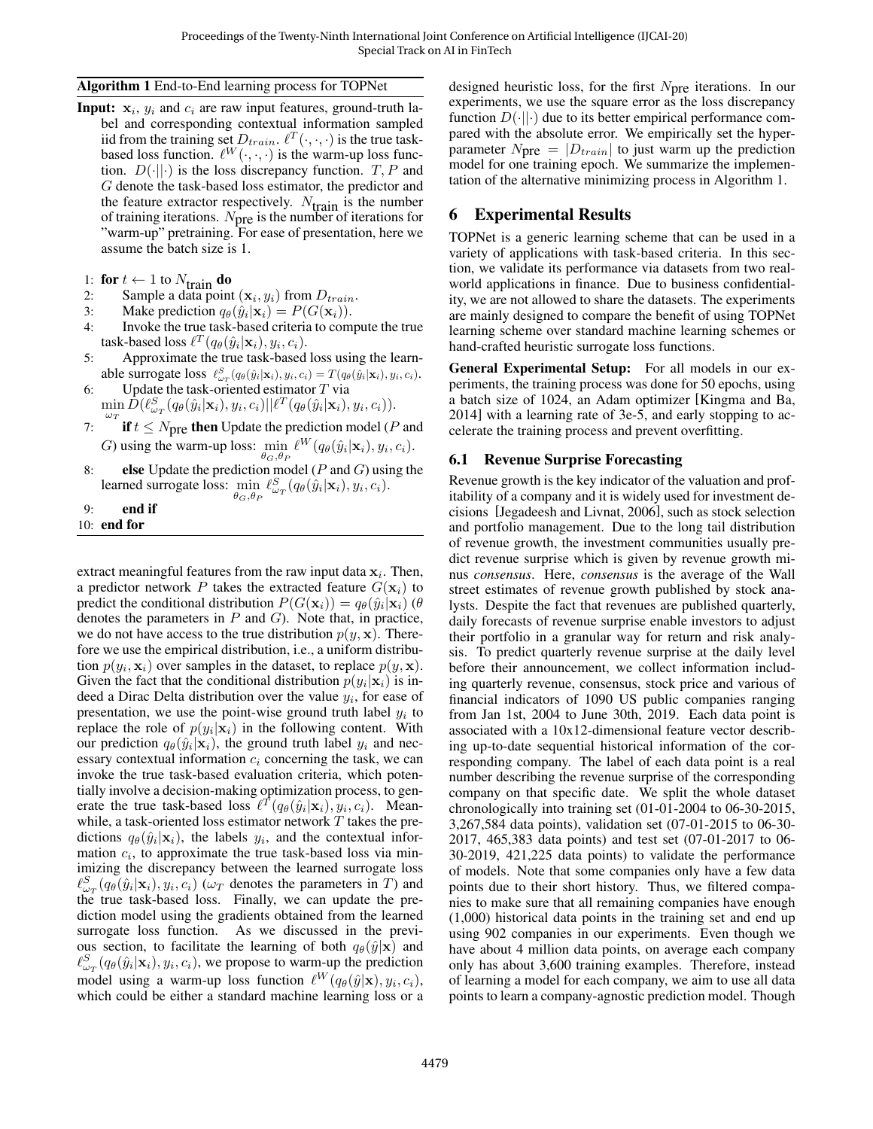### <span id="page-3-0"></span>Algorithm 1 End-to-End learning process for TOPNet

- **Input:**  $x_i$ ,  $y_i$  and  $c_i$  are raw input features, ground-truth label and corresponding contextual information sampled iid from the training set  $D_{train}$ .  $\ell^T(\cdot, \cdot, \cdot)$  is the true taskbased loss function.  $\ell^W(\cdot, \cdot, \cdot)$  is the warm-up loss function.  $D(\cdot||\cdot)$  is the loss discrepancy function.  $T, P$  and G denote the task-based loss estimator, the predictor and the feature extractor respectively.  $N_{\text{train}}$  is the number of training iterations.  $N_{\text{pre}}$  is the number of iterations for "warm-up" pretraining. For ease of presentation, here we assume the batch size is 1.
- 
- 1: **for**  $t \leftarrow 1$  to  $N_{\text{train}}$  **do**<br>2: Sample a data point 2: Sample a data point  $(\mathbf{x}_i, y_i)$  from  $D_{train}$ .
- 3: Make prediction  $q_{\theta}(\hat{y}_i|\mathbf{x}_i) = P(G(\mathbf{x}_i)).$
- 4: Invoke the true task-based criteria to compute the true task-based loss  $\ell^T(q_\theta(\hat{y}_i|\mathbf{x}_i), y_i, c_i)$ .
- 5: Approximate the true task-based loss using the learnable surrogate loss  $\ell_{\omega_T}^S(q_{\theta}(\hat{y}_i|\mathbf{x}_i), y_i, c_i) = T(q_{\theta}(\hat{y}_i|\mathbf{x}_i), y_i, c_i)$ .
- 6: Update the task-oriented estimator  $T$  via  $\min_{\omega_T} \hat{D}(\ell^S_{\omega_T}(q_\theta(\hat{y}_i|\mathbf{x}_i), y_i, c_i)||\ell^T(q_\theta(\hat{y}_i|\mathbf{x}_i), y_i, c_i)).$
- 7: **if**  $t \leq N$  pre **then** Update the prediction model (*P* and G) using the warm-up loss:  $\min_{\theta_G, \theta_P} \ell^W(q_{\theta}(\hat{y}_i|\mathbf{x}_i), y_i, c_i)$ .
- 8: else Update the prediction model ( $P$  and  $G$ ) using the learned surrogate loss:  $\min_{\theta_G, \theta_P} \ell^S_{\omega_T}(q_{\theta}(\hat{y}_i|\mathbf{x}_i), y_i, c_i)$ .

9: end if 10: end for

extract meaningful features from the raw input data  $x_i$ . Then, a predictor network P takes the extracted feature  $G(\mathbf{x}_i)$  to predict the conditional distribution  $P(G(\mathbf{x}_i)) = q_\theta(\hat{y}_i|\mathbf{x}_i)$  ( $\theta$ denotes the parameters in  $P$  and  $G$ ). Note that, in practice, we do not have access to the true distribution  $p(y, x)$ . Therefore we use the empirical distribution, i.e., a uniform distribution  $p(y_i, \mathbf{x}_i)$  over samples in the dataset, to replace  $p(y, \mathbf{x})$ . Given the fact that the conditional distribution  $p(y_i|\mathbf{x}_i)$  is indeed a Dirac Delta distribution over the value  $y_i$ , for ease of presentation, we use the point-wise ground truth label  $y_i$  to replace the role of  $p(y_i|\mathbf{x}_i)$  in the following content. With our prediction  $q_{\theta}(\hat{y}_i|\mathbf{x}_i)$ , the ground truth label  $y_i$  and necessary contextual information  $c_i$  concerning the task, we can invoke the true task-based evaluation criteria, which potentially involve a decision-making optimization process, to generate the true task-based loss  $\ell^{T}(q_{\theta}(\hat{y}_i|\mathbf{x}_i), y_i, c_i)$ . Meanwhile, a task-oriented loss estimator network  $T$  takes the predictions  $q_{\theta}(\hat{y}_i|\mathbf{x}_i)$ , the labels  $y_i$ , and the contextual information  $c_i$ , to approximate the true task-based loss via minimizing the discrepancy between the learned surrogate loss  $\ell_{\omega_T}^S(q_\theta(\hat{y}_i|\mathbf{x}_i), y_i, c_i)$  ( $\omega_T$  denotes the parameters in T) and the true task-based loss. Finally, we can update the prediction model using the gradients obtained from the learned surrogate loss function. As we discussed in the previous section, to facilitate the learning of both  $q_{\theta}(\hat{y}|\mathbf{x})$  and  $\ell_{\omega_T}^S(q_\theta(\hat{y}_i|\mathbf{x}_i), y_i, c_i)$ , we propose to warm-up the prediction model using a warm-up loss function  $\ell^W(q_\theta(\hat{y}|\mathbf{x}), y_i, c_i)$ , which could be either a standard machine learning loss or a designed heuristic loss, for the first  $N<sub>pre</sub>$  iterations. In our experiments, we use the square error as the loss discrepancy function  $D(\cdot||\cdot)$  due to its better empirical performance compared with the absolute error. We empirically set the hyperparameter  $N_{\text{pre}} = |D_{train}|$  to just warm up the prediction model for one training epoch. We summarize the implementation of the alternative minimizing process in Algorithm [1.](#page-3-0)

# 6 Experimental Results

TOPNet is a generic learning scheme that can be used in a variety of applications with task-based criteria. In this section, we validate its performance via datasets from two realworld applications in finance. Due to business confidentiality, we are not allowed to share the datasets. The experiments are mainly designed to compare the benefit of using TOPNet learning scheme over standard machine learning schemes or hand-crafted heuristic surrogate loss functions.

General Experimental Setup: For all models in our experiments, the training process was done for 50 epochs, using a batch size of 1024, an Adam optimizer [\[Kingma and Ba,](#page-6-10) [2014\]](#page-6-10) with a learning rate of 3e-5, and early stopping to accelerate the training process and prevent overfitting.

## 6.1 Revenue Surprise Forecasting

Revenue growth is the key indicator of the valuation and profitability of a company and it is widely used for investment decisions [\[Jegadeesh and Livnat, 2006\]](#page-6-11), such as stock selection and portfolio management. Due to the long tail distribution of revenue growth, the investment communities usually predict revenue surprise which is given by revenue growth minus *consensus*. Here, *consensus* is the average of the Wall street estimates of revenue growth published by stock analysts. Despite the fact that revenues are published quarterly, daily forecasts of revenue surprise enable investors to adjust their portfolio in a granular way for return and risk analysis. To predict quarterly revenue surprise at the daily level before their announcement, we collect information including quarterly revenue, consensus, stock price and various of financial indicators of 1090 US public companies ranging from Jan 1st, 2004 to June 30th, 2019. Each data point is associated with a 10x12-dimensional feature vector describing up-to-date sequential historical information of the corresponding company. The label of each data point is a real number describing the revenue surprise of the corresponding company on that specific date. We split the whole dataset chronologically into training set (01-01-2004 to 06-30-2015, 3,267,584 data points), validation set (07-01-2015 to 06-30- 2017, 465,383 data points) and test set (07-01-2017 to 06- 30-2019, 421,225 data points) to validate the performance of models. Note that some companies only have a few data points due to their short history. Thus, we filtered companies to make sure that all remaining companies have enough (1,000) historical data points in the training set and end up using 902 companies in our experiments. Even though we have about 4 million data points, on average each company only has about 3,600 training examples. Therefore, instead of learning a model for each company, we aim to use all data points to learn a company-agnostic prediction model. Though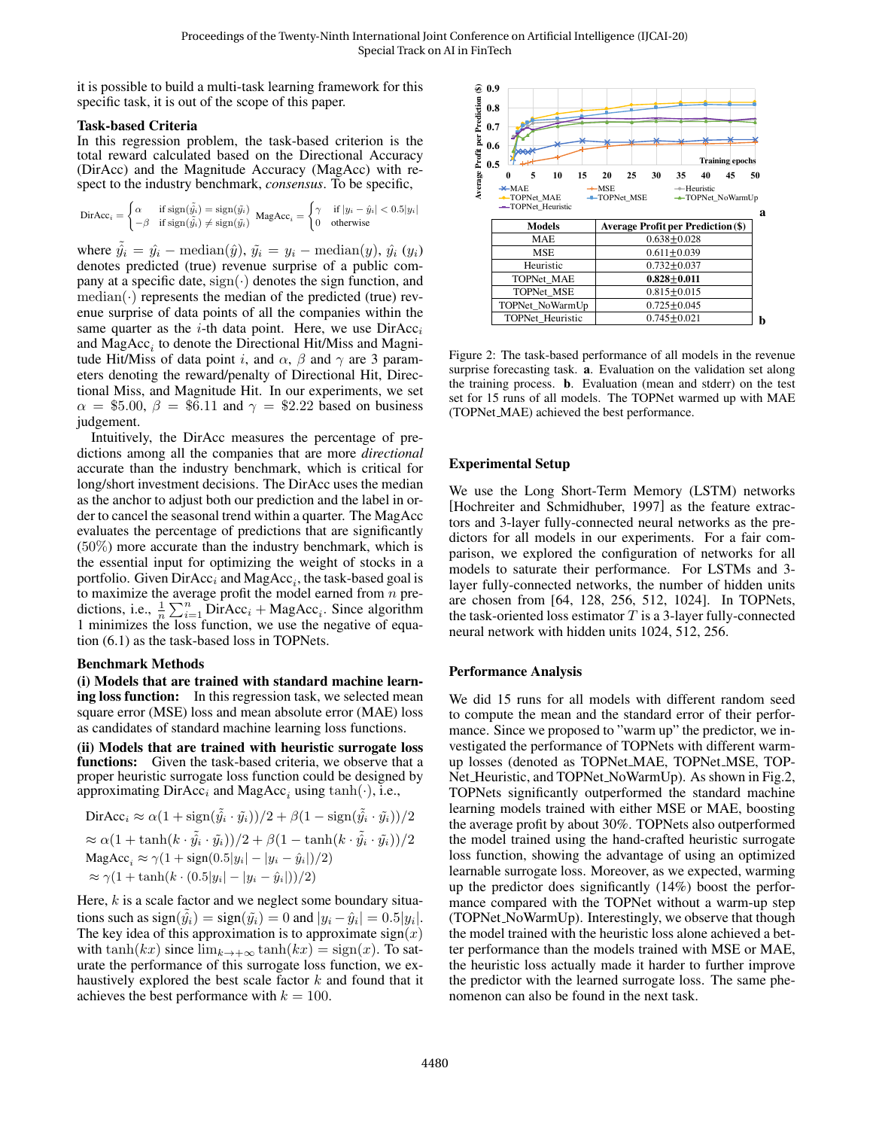it is possible to build a multi-task learning framework for this specific task, it is out of the scope of this paper.

#### <span id="page-4-0"></span>Task-based Criteria

In this regression problem, the task-based criterion is the total reward calculated based on the Directional Accuracy (DirAcc) and the Magnitude Accuracy (MagAcc) with respect to the industry benchmark, *consensus*. To be specific,

$$
\text{DirAcc}_i = \begin{cases} \alpha & \text{if sign}(\hat{y_i}) = \text{sign}(\hat{y_i}) \\ -\beta & \text{if sign}(\hat{y_i}) \neq \text{sign}(\hat{y_i}) \end{cases} \text{ MagAcc}_i = \begin{cases} \gamma & \text{if } |y_i - \hat{y}_i| < 0.5|y_i| \\ 0 & \text{otherwise} \end{cases}
$$

where  $\hat{y}_i = \hat{y}_i - \text{median}(\hat{y}), \, \tilde{y}_i = y_i - \text{median}(y), \, \hat{y}_i \, (y_i)$ denotes predicted (true) revenue surprise of a public company at a specific date,  $sign(\cdot)$  denotes the sign function, and  $median(\cdot)$  represents the median of the predicted (true) revenue surprise of data points of all the companies within the same quarter as the *i*-th data point. Here, we use  $DirAcc<sub>i</sub>$ and  $\text{MagAcc}_i$  to denote the Directional Hit/Miss and Magnitude Hit/Miss of data point i, and  $\alpha$ ,  $\beta$  and  $\gamma$  are 3 parameters denoting the reward/penalty of Directional Hit, Directional Miss, and Magnitude Hit. In our experiments, we set  $\alpha = \$5.00, \beta = \$6.11$  and  $\gamma = \$2.22$  based on business judgement.

Intuitively, the DirAcc measures the percentage of predictions among all the companies that are more *directional* accurate than the industry benchmark, which is critical for long/short investment decisions. The DirAcc uses the median as the anchor to adjust both our prediction and the label in order to cancel the seasonal trend within a quarter. The MagAcc evaluates the percentage of predictions that are significantly (50%) more accurate than the industry benchmark, which is the essential input for optimizing the weight of stocks in a portfolio. Given  $\text{DirAcc}_i$  and  $\text{MagAcc}_i$ , the task-based goal is to maximize the average profit the model earned from  $n$  predictions, i.e.,  $\frac{1}{n} \sum_{i=1}^{n} \text{DirAcc}_{i} + \text{MagAcc}_{i}$ . Since algorithm [1](#page-3-0) minimizes the loss function, we use the negative of equation [\(6.1\)](#page-4-0) as the task-based loss in TOPNets.

#### Benchmark Methods

(i) Models that are trained with standard machine learning loss function: In this regression task, we selected mean square error (MSE) loss and mean absolute error (MAE) loss as candidates of standard machine learning loss functions.

(ii) Models that are trained with heuristic surrogate loss functions: Given the task-based criteria, we observe that a proper heuristic surrogate loss function could be designed by approximating  $\text{DirAcc}_i$  and  $\text{MagAcc}_i$  using  $\tanh(\cdot)$ , i.e.,

DirAcc<sub>i</sub> 
$$
\approx \alpha (1 + \text{sign}(\tilde{\hat{y}}_i \cdot \tilde{y}_i))/2 + \beta (1 - \text{sign}(\tilde{\hat{y}}_i \cdot \tilde{y}_i))/2
$$
  
\n $\approx \alpha (1 + \tanh(k \cdot \tilde{\hat{y}}_i \cdot \tilde{y}_i))/2 + \beta (1 - \tanh(k \cdot \tilde{\hat{y}}_i \cdot \tilde{y}_i))/2$   
\nMagAcc<sub>i</sub>  $\approx \gamma (1 + \text{sign}(0.5|y_i| - |y_i - \hat{y}_i|))/2)$   
\n $\approx \gamma (1 + \tanh(k \cdot (0.5|y_i| - |y_i - \hat{y}_i|))/2)$ 

Here,  $k$  is a scale factor and we neglect some boundary situations such as  $sign(\tilde{\hat{y}}_i) = sign(\tilde{y}_i) = 0$  and  $|y_i - \hat{y}_i| = 0.5|y_i|$ . The key idea of this approximation is to approximate  $sign(x)$ with tanh $(kx)$  since  $\lim_{k\to+\infty} \tanh(kx) = \text{sign}(x)$ . To saturate the performance of this surrogate loss function, we exhaustively explored the best scale factor  $k$  and found that it achieves the best performance with  $k = 100$ .

<span id="page-4-1"></span>

Figure 2: The task-based performance of all models in the revenue surprise forecasting task. a. Evaluation on the validation set along the training process. b. Evaluation (mean and stderr) on the test set for 15 runs of all models. The TOPNet warmed up with MAE (TOPNet MAE) achieved the best performance.

#### Experimental Setup

We use the Long Short-Term Memory (LSTM) networks [\[Hochreiter and Schmidhuber, 1997\]](#page-6-12) as the feature extractors and 3-layer fully-connected neural networks as the predictors for all models in our experiments. For a fair comparison, we explored the configuration of networks for all models to saturate their performance. For LSTMs and 3 layer fully-connected networks, the number of hidden units are chosen from [64, 128, 256, 512, 1024]. In TOPNets, the task-oriented loss estimator  $T$  is a 3-layer fully-connected neural network with hidden units 1024, 512, 256.

#### Performance Analysis

We did 15 runs for all models with different random seed to compute the mean and the standard error of their performance. Since we proposed to "warm up" the predictor, we investigated the performance of TOPNets with different warmup losses (denoted as TOPNet MAE, TOPNet MSE, TOP-Net Heuristic, and TOPNet NoWarmUp). As shown in Fig[.2,](#page-4-1) TOPNets significantly outperformed the standard machine learning models trained with either MSE or MAE, boosting the average profit by about 30%. TOPNets also outperformed the model trained using the hand-crafted heuristic surrogate loss function, showing the advantage of using an optimized learnable surrogate loss. Moreover, as we expected, warming up the predictor does significantly (14%) boost the performance compared with the TOPNet without a warm-up step (TOPNet NoWarmUp). Interestingly, we observe that though the model trained with the heuristic loss alone achieved a better performance than the models trained with MSE or MAE, the heuristic loss actually made it harder to further improve the predictor with the learned surrogate loss. The same phenomenon can also be found in the next task.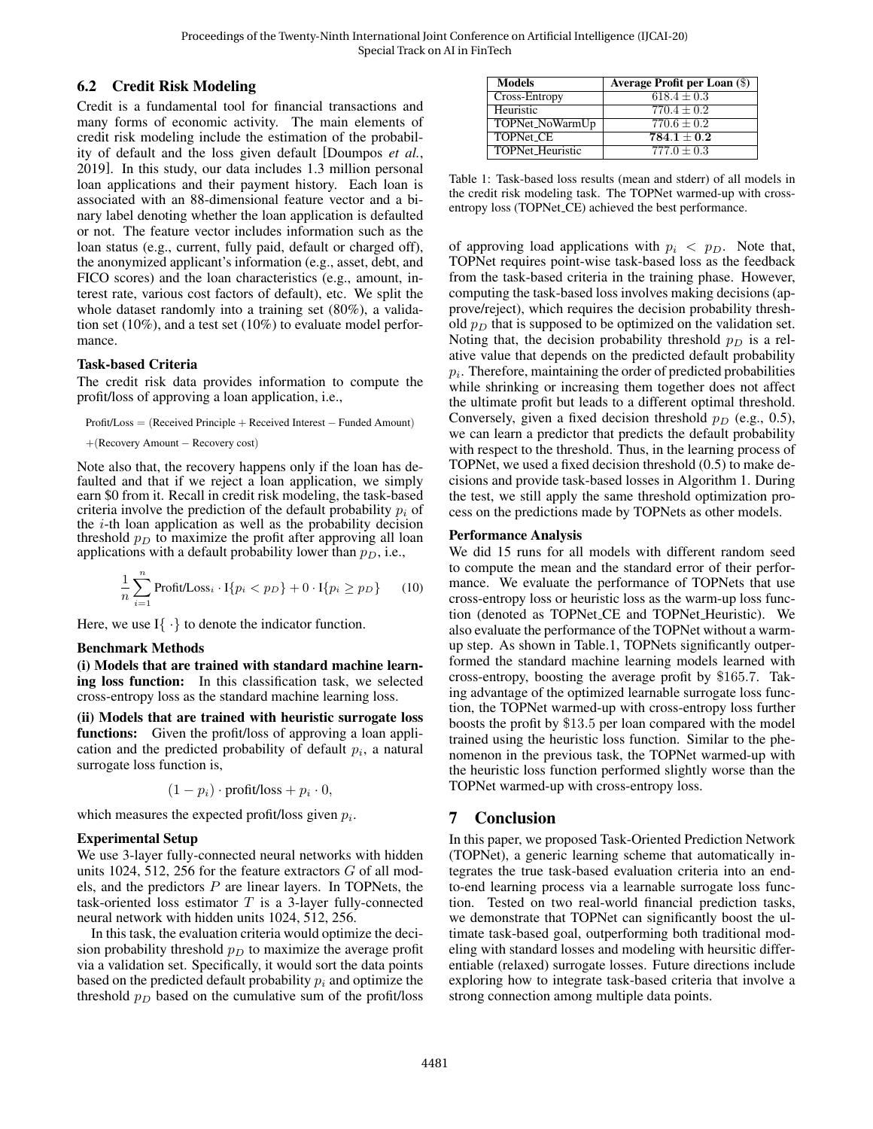## 6.2 Credit Risk Modeling

Credit is a fundamental tool for financial transactions and many forms of economic activity. The main elements of credit risk modeling include the estimation of the probability of default and the loss given default [\[Doumpos](#page-6-13) *et al.*, [2019\]](#page-6-13). In this study, our data includes 1.3 million personal loan applications and their payment history. Each loan is associated with an 88-dimensional feature vector and a binary label denoting whether the loan application is defaulted or not. The feature vector includes information such as the loan status (e.g., current, fully paid, default or charged off), the anonymized applicant's information (e.g., asset, debt, and FICO scores) and the loan characteristics (e.g., amount, interest rate, various cost factors of default), etc. We split the whole dataset randomly into a training set (80%), a validation set (10%), and a test set (10%) to evaluate model performance.

### Task-based Criteria

The credit risk data provides information to compute the profit/loss of approving a loan application, i.e.,

Profit/Loss = (Received Principle + Received Interest − Funded Amount)

```
+(Recovery Amount − Recovery cost)
```
Note also that, the recovery happens only if the loan has defaulted and that if we reject a loan application, we simply earn \$0 from it. Recall in credit risk modeling, the task-based criteria involve the prediction of the default probability  $p_i$  of the  $i$ -th loan application as well as the probability decision threshold  $p_D$  to maximize the profit after approving all loan applications with a default probability lower than  $p<sub>D</sub>$ , i.e.,

$$
\frac{1}{n}\sum_{i=1}^{n}\text{Profit}/\text{Loss}_{i} \cdot \text{I}\{p_{i} < p_{D}\} + 0 \cdot \text{I}\{p_{i} \geq p_{D}\} \tag{10}
$$

Here, we use  $I\{\cdot\}$  to denote the indicator function.

### Benchmark Methods

(i) Models that are trained with standard machine learning loss function: In this classification task, we selected cross-entropy loss as the standard machine learning loss.

(ii) Models that are trained with heuristic surrogate loss functions: Given the profit/loss of approving a loan application and the predicted probability of default  $p_i$ , a natural surrogate loss function is,

$$
(1 - p_i) \cdot \text{profit/loss} + p_i \cdot 0,
$$

which measures the expected profit/loss given  $p_i$ .

## Experimental Setup

We use 3-layer fully-connected neural networks with hidden units 1024, 512, 256 for the feature extractors  $G$  of all models, and the predictors  $P$  are linear layers. In TOPNets, the task-oriented loss estimator  $T$  is a 3-layer fully-connected neural network with hidden units 1024, 512, 256.

In this task, the evaluation criteria would optimize the decision probability threshold  $p_D$  to maximize the average profit via a validation set. Specifically, it would sort the data points based on the predicted default probability  $p_i$  and optimize the threshold  $p_D$  based on the cumulative sum of the profit/loss

<span id="page-5-0"></span>

| <b>Models</b>    | <b>Average Profit per Loan (\$)</b> |
|------------------|-------------------------------------|
| Cross-Entropy    | $618.4 \pm 0.3$                     |
| Heuristic        | $770.4 + 0.2$                       |
| TOPNet_NoWarmUp  | $770.6 \pm 0.2$                     |
| TOPNet_CE        | $784.1 + 0.2$                       |
| TOPNet_Heuristic | $777.0 + 0.3$                       |

Table 1: Task-based loss results (mean and stderr) of all models in the credit risk modeling task. The TOPNet warmed-up with crossentropy loss (TOPNet CE) achieved the best performance.

of approving load applications with  $p_i < p_D$ . Note that, TOPNet requires point-wise task-based loss as the feedback from the task-based criteria in the training phase. However, computing the task-based loss involves making decisions (approve/reject), which requires the decision probability threshold  $p<sub>D</sub>$  that is supposed to be optimized on the validation set. Noting that, the decision probability threshold  $p<sub>D</sub>$  is a relative value that depends on the predicted default probability  $p_i$ . Therefore, maintaining the order of predicted probabilities while shrinking or increasing them together does not affect the ultimate profit but leads to a different optimal threshold. Conversely, given a fixed decision threshold  $p_D$  (e.g., 0.5), we can learn a predictor that predicts the default probability with respect to the threshold. Thus, in the learning process of TOPNet, we used a fixed decision threshold (0.5) to make decisions and provide task-based losses in Algorithm [1.](#page-3-0) During the test, we still apply the same threshold optimization process on the predictions made by TOPNets as other models.

### Performance Analysis

We did 15 runs for all models with different random seed to compute the mean and the standard error of their performance. We evaluate the performance of TOPNets that use cross-entropy loss or heuristic loss as the warm-up loss function (denoted as TOPNet CE and TOPNet Heuristic). We also evaluate the performance of the TOPNet without a warmup step. As shown in Table[.1,](#page-5-0) TOPNets significantly outperformed the standard machine learning models learned with cross-entropy, boosting the average profit by \$165.7. Taking advantage of the optimized learnable surrogate loss function, the TOPNet warmed-up with cross-entropy loss further boosts the profit by \$13.5 per loan compared with the model trained using the heuristic loss function. Similar to the phenomenon in the previous task, the TOPNet warmed-up with the heuristic loss function performed slightly worse than the TOPNet warmed-up with cross-entropy loss.

## 7 Conclusion

In this paper, we proposed Task-Oriented Prediction Network (TOPNet), a generic learning scheme that automatically integrates the true task-based evaluation criteria into an endto-end learning process via a learnable surrogate loss function. Tested on two real-world financial prediction tasks, we demonstrate that TOPNet can significantly boost the ultimate task-based goal, outperforming both traditional modeling with standard losses and modeling with heursitic differentiable (relaxed) surrogate losses. Future directions include exploring how to integrate task-based criteria that involve a strong connection among multiple data points.